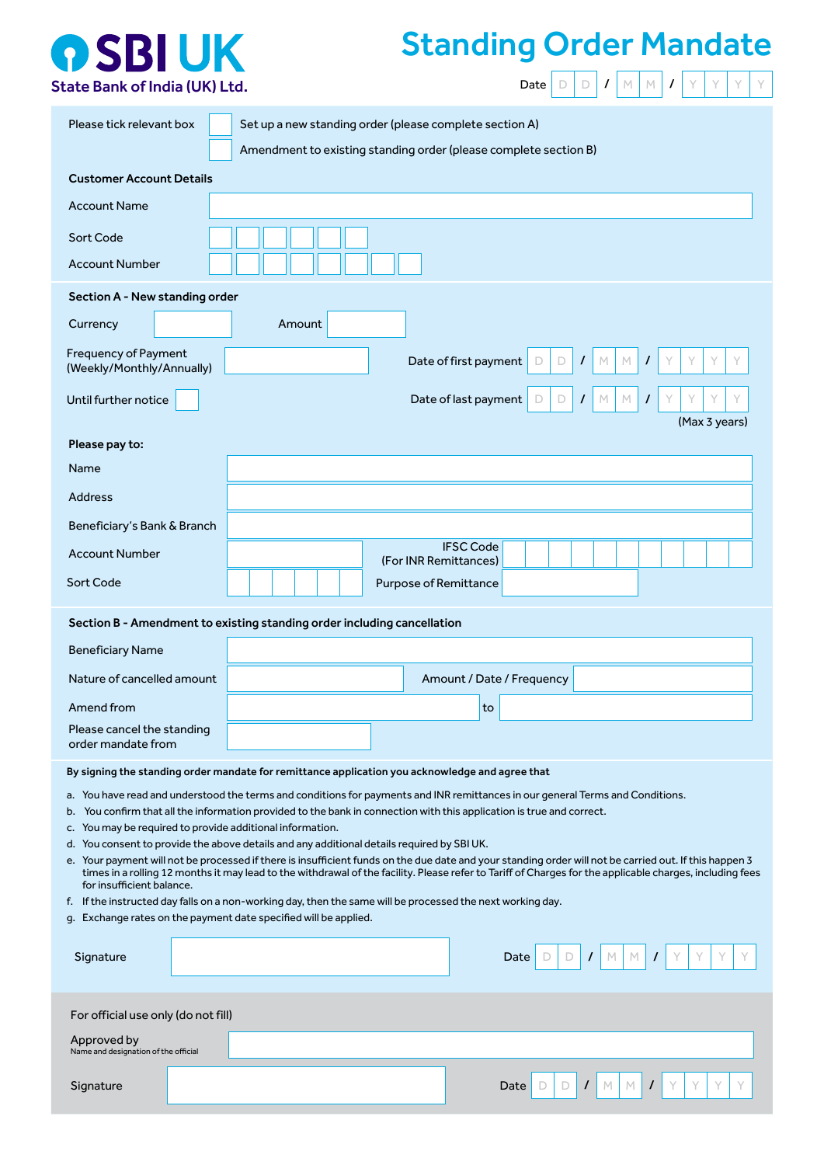

## Standing Order Mandate

| Amendment to existing standing order (please complete section B)<br><b>Customer Account Details</b><br><b>Account Name</b><br>Sort Code<br><b>Account Number</b><br>Section A - New standing order<br>Amount<br>Currency<br><b>Frequency of Payment</b><br>Date of first payment<br>$\prime$<br>M<br>$\prime$<br>Y<br>D<br>D<br>M<br>Y.<br>(Weekly/Monthly/Annually)<br>Date of last payment<br>M<br>Υ<br>Until further notice<br>D<br>М<br>$\prime$<br>D<br>$\prime$<br>(Max 3 years)<br>Please pay to:<br>Name<br><b>Address</b><br>Beneficiary's Bank & Branch<br><b>IFSC Code</b><br><b>Account Number</b><br>(For INR Remittances)<br>Sort Code<br><b>Purpose of Remittance</b><br>Section B - Amendment to existing standing order including cancellation<br><b>Beneficiary Name</b><br>Nature of cancelled amount<br>Amount / Date / Frequency<br>Amend from<br>to<br>Please cancel the standing<br>order mandate from<br>By signing the standing order mandate for remittance application you acknowledge and agree that<br>a. You have read and understood the terms and conditions for payments and INR remittances in our general Terms and Conditions.<br>b. You confirm that all the information provided to the bank in connection with this application is true and correct.<br>c. You may be required to provide additional information.<br>d. You consent to provide the above details and any additional details required by SBI UK.<br>e. Your payment will not be processed if there is insufficient funds on the due date and your standing order will not be carried out. If this happen 3<br>times in a rolling 12 months it may lead to the withdrawal of the facility. Please refer to Tariff of Charges for the applicable charges, including fees | Please tick relevant box |  | Set up a new standing order (please complete section A) |  |  |
|------------------------------------------------------------------------------------------------------------------------------------------------------------------------------------------------------------------------------------------------------------------------------------------------------------------------------------------------------------------------------------------------------------------------------------------------------------------------------------------------------------------------------------------------------------------------------------------------------------------------------------------------------------------------------------------------------------------------------------------------------------------------------------------------------------------------------------------------------------------------------------------------------------------------------------------------------------------------------------------------------------------------------------------------------------------------------------------------------------------------------------------------------------------------------------------------------------------------------------------------------------------------------------------------------------------------------------------------------------------------------------------------------------------------------------------------------------------------------------------------------------------------------------------------------------------------------------------------------------------------------------------------------------------------------------------------------------------------------------------------------------------------------|--------------------------|--|---------------------------------------------------------|--|--|
|                                                                                                                                                                                                                                                                                                                                                                                                                                                                                                                                                                                                                                                                                                                                                                                                                                                                                                                                                                                                                                                                                                                                                                                                                                                                                                                                                                                                                                                                                                                                                                                                                                                                                                                                                                              |                          |  |                                                         |  |  |
|                                                                                                                                                                                                                                                                                                                                                                                                                                                                                                                                                                                                                                                                                                                                                                                                                                                                                                                                                                                                                                                                                                                                                                                                                                                                                                                                                                                                                                                                                                                                                                                                                                                                                                                                                                              |                          |  |                                                         |  |  |
|                                                                                                                                                                                                                                                                                                                                                                                                                                                                                                                                                                                                                                                                                                                                                                                                                                                                                                                                                                                                                                                                                                                                                                                                                                                                                                                                                                                                                                                                                                                                                                                                                                                                                                                                                                              |                          |  |                                                         |  |  |
|                                                                                                                                                                                                                                                                                                                                                                                                                                                                                                                                                                                                                                                                                                                                                                                                                                                                                                                                                                                                                                                                                                                                                                                                                                                                                                                                                                                                                                                                                                                                                                                                                                                                                                                                                                              |                          |  |                                                         |  |  |
|                                                                                                                                                                                                                                                                                                                                                                                                                                                                                                                                                                                                                                                                                                                                                                                                                                                                                                                                                                                                                                                                                                                                                                                                                                                                                                                                                                                                                                                                                                                                                                                                                                                                                                                                                                              |                          |  |                                                         |  |  |
|                                                                                                                                                                                                                                                                                                                                                                                                                                                                                                                                                                                                                                                                                                                                                                                                                                                                                                                                                                                                                                                                                                                                                                                                                                                                                                                                                                                                                                                                                                                                                                                                                                                                                                                                                                              |                          |  |                                                         |  |  |
|                                                                                                                                                                                                                                                                                                                                                                                                                                                                                                                                                                                                                                                                                                                                                                                                                                                                                                                                                                                                                                                                                                                                                                                                                                                                                                                                                                                                                                                                                                                                                                                                                                                                                                                                                                              |                          |  |                                                         |  |  |
|                                                                                                                                                                                                                                                                                                                                                                                                                                                                                                                                                                                                                                                                                                                                                                                                                                                                                                                                                                                                                                                                                                                                                                                                                                                                                                                                                                                                                                                                                                                                                                                                                                                                                                                                                                              |                          |  |                                                         |  |  |
|                                                                                                                                                                                                                                                                                                                                                                                                                                                                                                                                                                                                                                                                                                                                                                                                                                                                                                                                                                                                                                                                                                                                                                                                                                                                                                                                                                                                                                                                                                                                                                                                                                                                                                                                                                              |                          |  |                                                         |  |  |
|                                                                                                                                                                                                                                                                                                                                                                                                                                                                                                                                                                                                                                                                                                                                                                                                                                                                                                                                                                                                                                                                                                                                                                                                                                                                                                                                                                                                                                                                                                                                                                                                                                                                                                                                                                              |                          |  |                                                         |  |  |
|                                                                                                                                                                                                                                                                                                                                                                                                                                                                                                                                                                                                                                                                                                                                                                                                                                                                                                                                                                                                                                                                                                                                                                                                                                                                                                                                                                                                                                                                                                                                                                                                                                                                                                                                                                              |                          |  |                                                         |  |  |
|                                                                                                                                                                                                                                                                                                                                                                                                                                                                                                                                                                                                                                                                                                                                                                                                                                                                                                                                                                                                                                                                                                                                                                                                                                                                                                                                                                                                                                                                                                                                                                                                                                                                                                                                                                              |                          |  |                                                         |  |  |
|                                                                                                                                                                                                                                                                                                                                                                                                                                                                                                                                                                                                                                                                                                                                                                                                                                                                                                                                                                                                                                                                                                                                                                                                                                                                                                                                                                                                                                                                                                                                                                                                                                                                                                                                                                              |                          |  |                                                         |  |  |
|                                                                                                                                                                                                                                                                                                                                                                                                                                                                                                                                                                                                                                                                                                                                                                                                                                                                                                                                                                                                                                                                                                                                                                                                                                                                                                                                                                                                                                                                                                                                                                                                                                                                                                                                                                              |                          |  |                                                         |  |  |
|                                                                                                                                                                                                                                                                                                                                                                                                                                                                                                                                                                                                                                                                                                                                                                                                                                                                                                                                                                                                                                                                                                                                                                                                                                                                                                                                                                                                                                                                                                                                                                                                                                                                                                                                                                              |                          |  |                                                         |  |  |
|                                                                                                                                                                                                                                                                                                                                                                                                                                                                                                                                                                                                                                                                                                                                                                                                                                                                                                                                                                                                                                                                                                                                                                                                                                                                                                                                                                                                                                                                                                                                                                                                                                                                                                                                                                              |                          |  |                                                         |  |  |
|                                                                                                                                                                                                                                                                                                                                                                                                                                                                                                                                                                                                                                                                                                                                                                                                                                                                                                                                                                                                                                                                                                                                                                                                                                                                                                                                                                                                                                                                                                                                                                                                                                                                                                                                                                              |                          |  |                                                         |  |  |
|                                                                                                                                                                                                                                                                                                                                                                                                                                                                                                                                                                                                                                                                                                                                                                                                                                                                                                                                                                                                                                                                                                                                                                                                                                                                                                                                                                                                                                                                                                                                                                                                                                                                                                                                                                              |                          |  |                                                         |  |  |
|                                                                                                                                                                                                                                                                                                                                                                                                                                                                                                                                                                                                                                                                                                                                                                                                                                                                                                                                                                                                                                                                                                                                                                                                                                                                                                                                                                                                                                                                                                                                                                                                                                                                                                                                                                              |                          |  |                                                         |  |  |
|                                                                                                                                                                                                                                                                                                                                                                                                                                                                                                                                                                                                                                                                                                                                                                                                                                                                                                                                                                                                                                                                                                                                                                                                                                                                                                                                                                                                                                                                                                                                                                                                                                                                                                                                                                              |                          |  |                                                         |  |  |
|                                                                                                                                                                                                                                                                                                                                                                                                                                                                                                                                                                                                                                                                                                                                                                                                                                                                                                                                                                                                                                                                                                                                                                                                                                                                                                                                                                                                                                                                                                                                                                                                                                                                                                                                                                              |                          |  |                                                         |  |  |
|                                                                                                                                                                                                                                                                                                                                                                                                                                                                                                                                                                                                                                                                                                                                                                                                                                                                                                                                                                                                                                                                                                                                                                                                                                                                                                                                                                                                                                                                                                                                                                                                                                                                                                                                                                              |                          |  |                                                         |  |  |
|                                                                                                                                                                                                                                                                                                                                                                                                                                                                                                                                                                                                                                                                                                                                                                                                                                                                                                                                                                                                                                                                                                                                                                                                                                                                                                                                                                                                                                                                                                                                                                                                                                                                                                                                                                              |                          |  |                                                         |  |  |
|                                                                                                                                                                                                                                                                                                                                                                                                                                                                                                                                                                                                                                                                                                                                                                                                                                                                                                                                                                                                                                                                                                                                                                                                                                                                                                                                                                                                                                                                                                                                                                                                                                                                                                                                                                              |                          |  |                                                         |  |  |
| for insufficient balance.                                                                                                                                                                                                                                                                                                                                                                                                                                                                                                                                                                                                                                                                                                                                                                                                                                                                                                                                                                                                                                                                                                                                                                                                                                                                                                                                                                                                                                                                                                                                                                                                                                                                                                                                                    |                          |  |                                                         |  |  |
| f. If the instructed day falls on a non-working day, then the same will be processed the next working day.<br>g. Exchange rates on the payment date specified will be applied.                                                                                                                                                                                                                                                                                                                                                                                                                                                                                                                                                                                                                                                                                                                                                                                                                                                                                                                                                                                                                                                                                                                                                                                                                                                                                                                                                                                                                                                                                                                                                                                               |                          |  |                                                         |  |  |
|                                                                                                                                                                                                                                                                                                                                                                                                                                                                                                                                                                                                                                                                                                                                                                                                                                                                                                                                                                                                                                                                                                                                                                                                                                                                                                                                                                                                                                                                                                                                                                                                                                                                                                                                                                              |                          |  |                                                         |  |  |
| Signature<br>M.<br>Date<br>D<br>D<br>T<br>$\prime$                                                                                                                                                                                                                                                                                                                                                                                                                                                                                                                                                                                                                                                                                                                                                                                                                                                                                                                                                                                                                                                                                                                                                                                                                                                                                                                                                                                                                                                                                                                                                                                                                                                                                                                           |                          |  |                                                         |  |  |
| For official use only (do not fill)                                                                                                                                                                                                                                                                                                                                                                                                                                                                                                                                                                                                                                                                                                                                                                                                                                                                                                                                                                                                                                                                                                                                                                                                                                                                                                                                                                                                                                                                                                                                                                                                                                                                                                                                          |                          |  |                                                         |  |  |
| Approved by<br>Name and designation of the official                                                                                                                                                                                                                                                                                                                                                                                                                                                                                                                                                                                                                                                                                                                                                                                                                                                                                                                                                                                                                                                                                                                                                                                                                                                                                                                                                                                                                                                                                                                                                                                                                                                                                                                          |                          |  |                                                         |  |  |
|                                                                                                                                                                                                                                                                                                                                                                                                                                                                                                                                                                                                                                                                                                                                                                                                                                                                                                                                                                                                                                                                                                                                                                                                                                                                                                                                                                                                                                                                                                                                                                                                                                                                                                                                                                              |                          |  | Date                                                    |  |  |